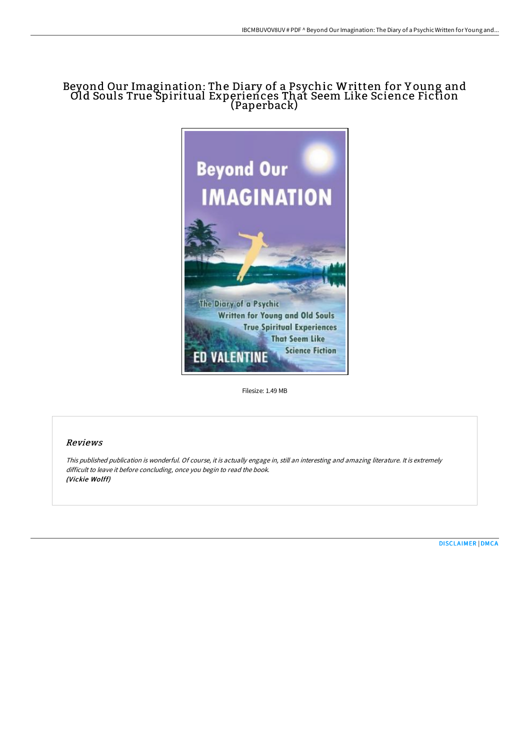## Beyond Our Imagination: The Diary of a Psychic Written for Y oung and Old Souls True Spiritual Experiences That Seem Like Science Fiction (Paperback)



Filesize: 1.49 MB

## Reviews

This published publication is wonderful. Of course, it is actually engage in, still an interesting and amazing literature. It is extremely difficult to leave it before concluding, once you begin to read the book. (Vickie Wolff)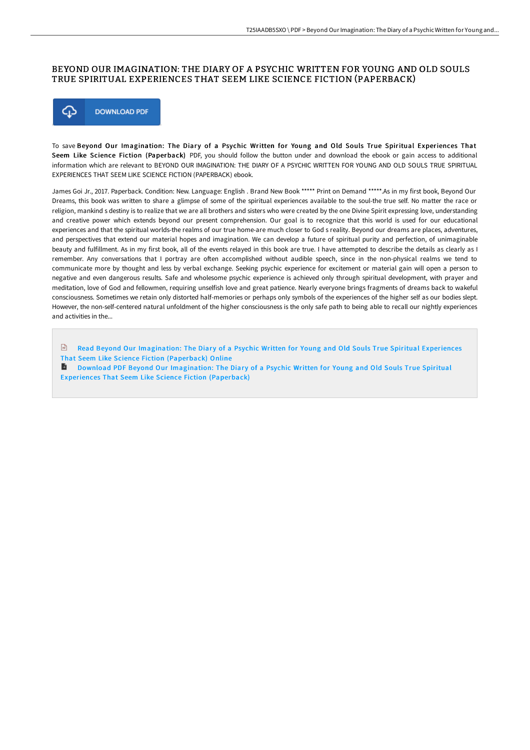## BEYOND OUR IMAGINATION: THE DIARY OF A PSYCHIC WRITTEN FOR YOUNG AND OLD SOULS TRUE SPIRITUAL EXPERIENCES THAT SEEM LIKE SCIENCE FICTION (PAPERBACK)



To save Beyond Our Imagination: The Diary of a Psychic Written for Young and Old Souls True Spiritual Experiences That Seem Like Science Fiction (Paperback) PDF, you should follow the button under and download the ebook or gain access to additional information which are relevant to BEYOND OUR IMAGINATION: THE DIARY OF A PSYCHIC WRITTEN FOR YOUNG AND OLD SOULS TRUE SPIRITUAL EXPERIENCES THAT SEEM LIKE SCIENCE FICTION (PAPERBACK) ebook.

James Goi Jr., 2017. Paperback. Condition: New. Language: English . Brand New Book \*\*\*\*\* Print on Demand \*\*\*\*\* As in my first book, Beyond Our Dreams, this book was written to share a glimpse of some of the spiritual experiences available to the soul-the true self. No matter the race or religion, mankind s destiny is to realize that we are all brothers and sisters who were created by the one Divine Spirit expressing love, understanding and creative power which extends beyond our present comprehension. Our goal is to recognize that this world is used for our educational experiences and that the spiritual worlds-the realms of our true home-are much closer to God s reality. Beyond our dreams are places, adventures, and perspectives that extend our material hopes and imagination. We can develop a future of spiritual purity and perfection, of unimaginable beauty and fulfillment. As in my first book, all of the events relayed in this book are true. I have attempted to describe the details as clearly as I remember. Any conversations that I portray are often accomplished without audible speech, since in the non-physical realms we tend to communicate more by thought and less by verbal exchange. Seeking psychic experience for excitement or material gain will open a person to negative and even dangerous results. Safe and wholesome psychic experience is achieved only through spiritual development, with prayer and meditation, love of God and fellowmen, requiring unselfish love and great patience. Nearly everyone brings fragments of dreams back to wakeful consciousness. Sometimes we retain only distorted half-memories or perhaps only symbols of the experiences of the higher self as our bodies slept. However, the non-self-centered natural unfoldment of the higher consciousness is the only safe path to being able to recall our nightly experiences and activities in the...

 $\boxed{m}$ Read Beyond Our [Imagination:](http://www.bookdirs.com/beyond-our-imagination-the-diary-of-a-psychic-wr.html) The Diary of a Psychic Written for Young and Old Souls True Spiritual Experiences That Seem Like Science Fiction (Paperback) Online

**D** Download PDF Beyond Our [Imagination:](http://www.bookdirs.com/beyond-our-imagination-the-diary-of-a-psychic-wr.html) The Diary of a Psychic Written for Young and Old Souls True Spiritual Experiences That Seem Like Science Fiction (Paperback)